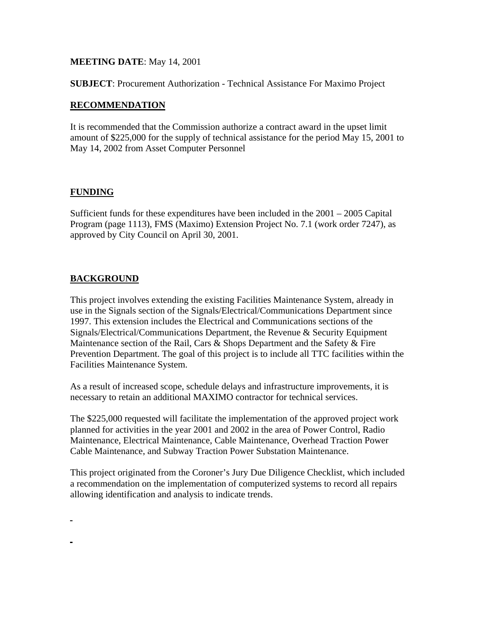### **MEETING DATE**: May 14, 2001

**SUBJECT**: Procurement Authorization - Technical Assistance For Maximo Project

### **RECOMMENDATION**

It is recommended that the Commission authorize a contract award in the upset limit amount of \$225,000 for the supply of technical assistance for the period May 15, 2001 to May 14, 2002 from Asset Computer Personnel

### **FUNDING**

Sufficient funds for these expenditures have been included in the 2001 – 2005 Capital Program (page 1113), FMS (Maximo) Extension Project No. 7.1 (work order 7247), as approved by City Council on April 30, 2001.

## **BACKGROUND**

This project involves extending the existing Facilities Maintenance System, already in use in the Signals section of the Signals/Electrical/Communications Department since 1997. This extension includes the Electrical and Communications sections of the Signals/Electrical/Communications Department, the Revenue & Security Equipment Maintenance section of the Rail, Cars & Shops Department and the Safety & Fire Prevention Department. The goal of this project is to include all TTC facilities within the Facilities Maintenance System.

As a result of increased scope, schedule delays and infrastructure improvements, it is necessary to retain an additional MAXIMO contractor for technical services.

The \$225,000 requested will facilitate the implementation of the approved project work planned for activities in the year 2001 and 2002 in the area of Power Control, Radio Maintenance, Electrical Maintenance, Cable Maintenance, Overhead Traction Power Cable Maintenance, and Subway Traction Power Substation Maintenance.

This project originated from the Coroner's Jury Due Diligence Checklist, which included a recommendation on the implementation of computerized systems to record all repairs allowing identification and analysis to indicate trends.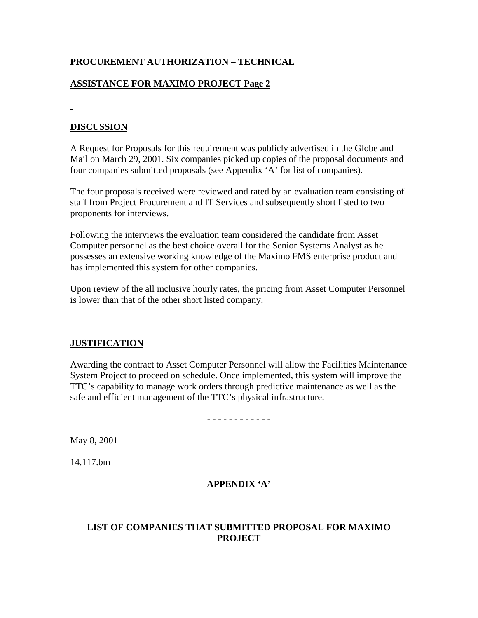# **PROCUREMENT AUTHORIZATION – TECHNICAL**

# **ASSISTANCE FOR MAXIMO PROJECT Page 2**

# **DISCUSSION**

A Request for Proposals for this requirement was publicly advertised in the Globe and Mail on March 29, 2001. Six companies picked up copies of the proposal documents and four companies submitted proposals (see Appendix 'A' for list of companies).

The four proposals received were reviewed and rated by an evaluation team consisting of staff from Project Procurement and IT Services and subsequently short listed to two proponents for interviews.

Following the interviews the evaluation team considered the candidate from Asset Computer personnel as the best choice overall for the Senior Systems Analyst as he possesses an extensive working knowledge of the Maximo FMS enterprise product and has implemented this system for other companies.

Upon review of the all inclusive hourly rates, the pricing from Asset Computer Personnel is lower than that of the other short listed company.

## **JUSTIFICATION**

Awarding the contract to Asset Computer Personnel will allow the Facilities Maintenance System Project to proceed on schedule. Once implemented, this system will improve the TTC's capability to manage work orders through predictive maintenance as well as the safe and efficient management of the TTC's physical infrastructure.

- - - - - - - - - - - -

May 8, 2001

14.117.bm

## **APPENDIX 'A'**

## **LIST OF COMPANIES THAT SUBMITTED PROPOSAL FOR MAXIMO PROJECT**